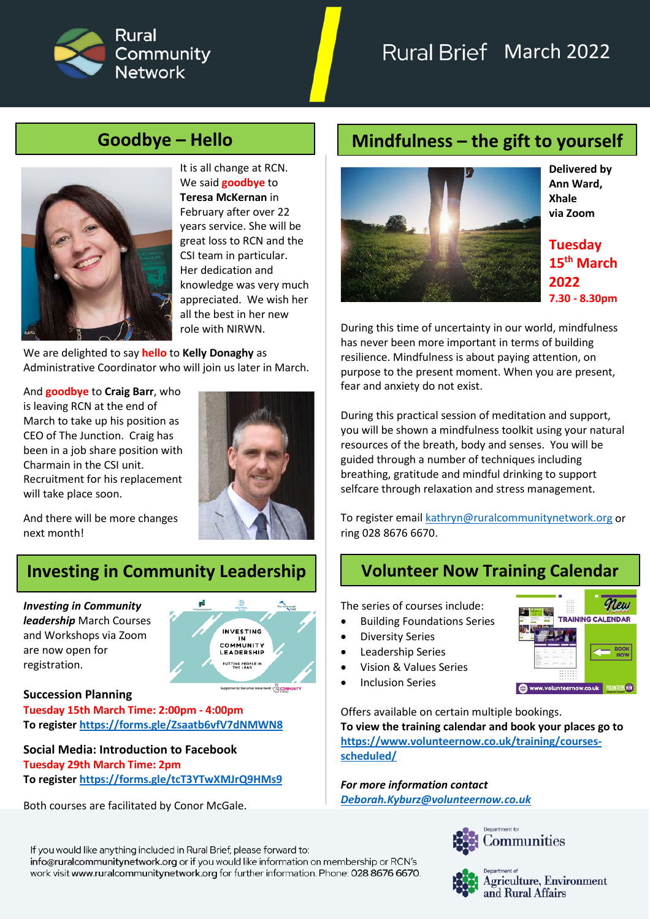

# Rural Brief March 2022



It is all change at RCN. We said **goodbye** to **Teresa McKernan** in February after over 22 years service. She will be great loss to RCN and the CSI team in particular. Her dedication and knowledge was very much appreciated. We wish her all the best in her new role with NIRWN.

We are delighted to say **hello** to **Kelly Donaghy** as Administrative Coordinator who will join us later in March.

And **goodbye** to **Craig Barr**, who is leaving RCN at the end of March to take up his position as CEO of The Junction. Craig has been in a job share position with Charmain in the CSI unit. Recruitment for his replacement will take place soon.



And there will be more changes next month!

# **Investing in Community Leadership Volunteer Now Training Calendar**

*Investing in Community leadership* March Courses and Workshops via Zoom are now open for registration.



### **Succession Planning**

**Tuesday 15th March Time: 2:00pm - 4:00pm To registe[r https://forms.gle/Zsaatb6vfV7dNMWN8](https://l.facebook.com/l.php?u=https%3A%2F%2Fforms.gle%2FZsaatb6vfV7dNMWN8%3Ffbclid%3DIwAR0eoV8ad1S1bRvgCzAsGOIef_9ovh2YnTuP4s6deiFDJrhaKpcZfp6s8KY&h=AT0EPXpiq6amEPBVRZtc-0tN0c72jaN2J1y10leiOoOwy6ulLEdV2FgUsGTMZXtu2p7VCKxqHuU9PW1dXOccTxlOVCsnvP50Al5HjzHBOUuCWlUj4tOkD-CUKAJRq5KGJQ9mUWgpe9uNdwj8MUOmJKI&__tn__=-UK-R&c%5B0%5D=AT29ywI41MNkaFSfpGAHhwjEmvr8xOKNK0bQkRa5Wf6cKj8-vkdx_AoiA1ehMlmtkBq2tXXGKCy339RBzMVHZEpYJt4_YOtiyvmlZhy_0qQKFyZZ6IEZmw04M4r7ifYWCIsXXdL4Q0hzdP3QFY_in--o7sd7iyMSRwbpK1Sxcb2aAMWRvQ)**

**Social Media: Introduction to Facebook Tuesday 29th March Time: 2pm To registe[r https://forms.gle/tcT3YTwXMJrQ9HMs9](https://forms.gle/tcT3YTwXMJrQ9HMs9?fbclid=IwAR3f-AVhANYO3J2ScGYFXeIF2y5eibnzsUDNkr1leKssHGMDi9_ZtnLzh_A)**

Both courses are facilitated by Conor McGale.

# **Goodbye – Hello Mindfulness – the gift to yourself**



**Delivered by Ann Ward, Xhale via Zoom**

**Tuesday 15th March 2022 7.30 - 8.30pm** 

During this time of uncertainty in our world, mindfulness has never been more important in terms of building resilience. Mindfulness is about paying attention, on purpose to the present moment. When you are present, fear and anxiety do not exist.

During this practical session of meditation and support, you will be shown a mindfulness toolkit using your natural resources of the breath, body and senses. You will be guided through a number of techniques including breathing, gratitude and mindful drinking to support selfcare through relaxation and stress management.

To register email [kathryn@ruralcommunitynetwork.org](mailto:kathryn@ruralcommunitynetwork.org) or ring 028 8676 6670.

The series of courses include:

- Building Foundations Series
- **Diversity Series**
- Leadership Series
- Vision & Values Series
- **Inclusion Series**

Offers available on certain multiple bookings. **To view the training calendar and book your places go to [https://www.volunteernow.co.uk/training/courses](https://www.volunteernow.co.uk/training/courses-scheduled/)[scheduled/](https://www.volunteernow.co.uk/training/courses-scheduled/)**

*For more information contact [Deborah.Kyburz@volunteernow.co.uk](mailto:Deborah.Kyburz@volunteernow.co.uk)*



Communities



**Agriculture, Environment** and Rural Affairs

If you would like anything included in Rural Brief, please forward to: info@ruralcommunitynetwork.org or if you would like information on membership or RCN's work visit www.ruralcommunitynetwork.org for further information. Phone: 028 8676 6670.